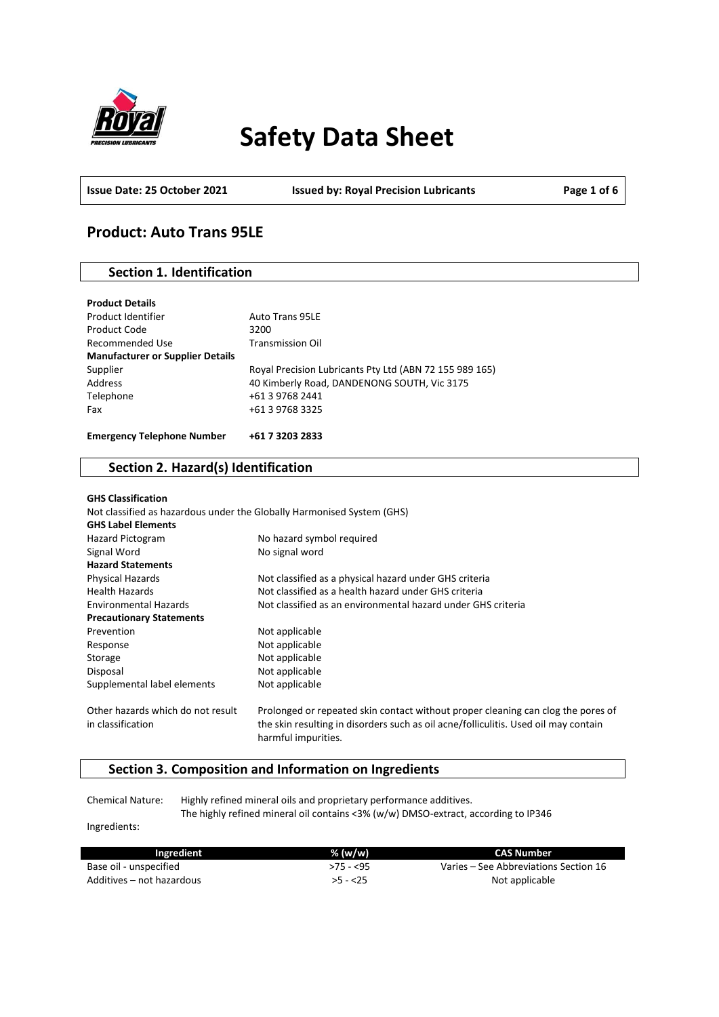

# **Safety Data Sheet**

**Issue Date: 25 October 2021 Issued by: Royal Precision Lubricants Page 1 of 6**

# **Product: Auto Trans 95LE**

### **Section 1. Identification**

| <b>Product Details</b>                  |                                                         |
|-----------------------------------------|---------------------------------------------------------|
| Product Identifier                      | <b>Auto Trans 95LE</b>                                  |
| Product Code                            | 3200                                                    |
| Recommended Use                         | <b>Transmission Oil</b>                                 |
| <b>Manufacturer or Supplier Details</b> |                                                         |
| Supplier                                | Royal Precision Lubricants Pty Ltd (ABN 72 155 989 165) |
| Address                                 | 40 Kimberly Road, DANDENONG SOUTH, Vic 3175             |
| Telephone                               | +61 3 9768 2441                                         |
| Fax                                     | +61 3 9768 3325                                         |
|                                         |                                                         |
| <b>Emergency Telephone Number</b>       | +61 7 3203 2833                                         |

### **Section 2. Hazard(s) Identification**

| <b>GHS Classification</b>         |                                                                                                            |
|-----------------------------------|------------------------------------------------------------------------------------------------------------|
|                                   | Not classified as hazardous under the Globally Harmonised System (GHS)                                     |
| <b>GHS Label Elements</b>         |                                                                                                            |
| Hazard Pictogram                  | No hazard symbol required                                                                                  |
| Signal Word                       | No signal word                                                                                             |
| <b>Hazard Statements</b>          |                                                                                                            |
| Physical Hazards                  | Not classified as a physical hazard under GHS criteria                                                     |
| <b>Health Hazards</b>             | Not classified as a health hazard under GHS criteria                                                       |
| <b>Environmental Hazards</b>      | Not classified as an environmental hazard under GHS criteria                                               |
| <b>Precautionary Statements</b>   |                                                                                                            |
| Prevention                        | Not applicable                                                                                             |
| Response                          | Not applicable                                                                                             |
| Storage                           | Not applicable                                                                                             |
| Disposal                          | Not applicable                                                                                             |
| Supplemental label elements       | Not applicable                                                                                             |
| Other hazards which do not result | Prolonged or repeated skin contact without proper cleaning can clog the pores of                           |
| in classification                 | the skin resulting in disorders such as oil acne/folliculitis. Used oil may contain<br>harmful impurities. |

# **Section 3. Composition and Information on Ingredients**

Chemical Nature: Highly refined mineral oils and proprietary performance additives. The highly refined mineral oil contains <3% (w/w) DMSO-extract, according to IP346

Ingredients:

| Ingredient                | $%$ (w/w)  | CAS Number                            |
|---------------------------|------------|---------------------------------------|
| Base oil - unspecified    | $>75 - 55$ | Varies – See Abbreviations Section 16 |
| Additives – not hazardous | $>5 - 25$  | Not applicable                        |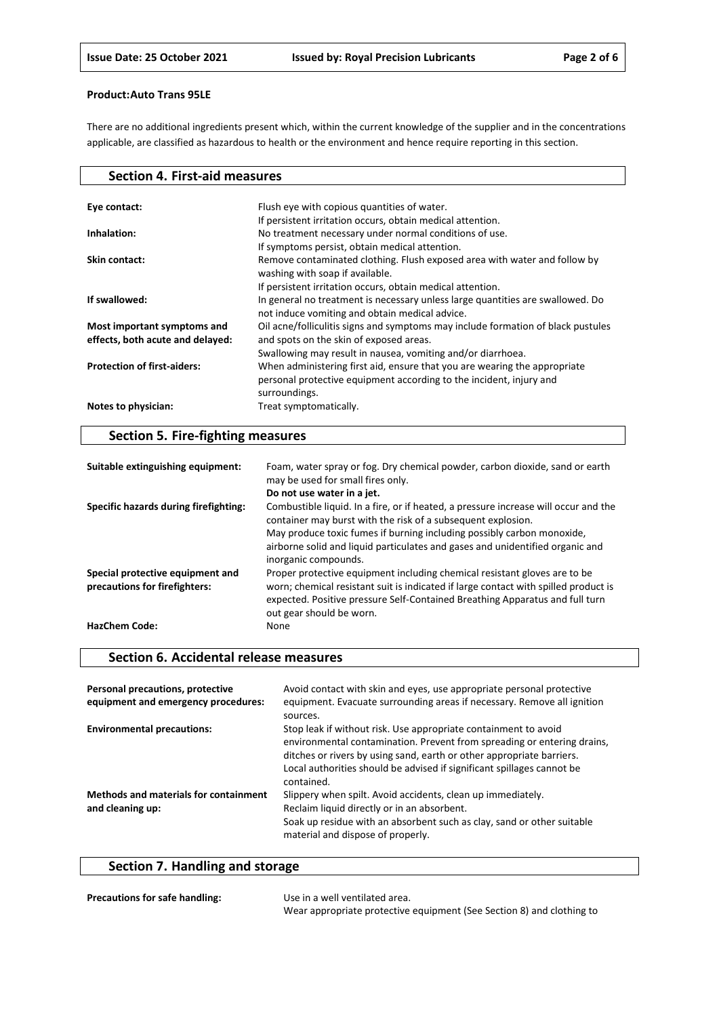There are no additional ingredients present which, within the current knowledge of the supplier and in the concentrations applicable, are classified as hazardous to health or the environment and hence require reporting in this section.

| <b>Section 4. First-aid measures</b> |                                                                                  |
|--------------------------------------|----------------------------------------------------------------------------------|
|                                      |                                                                                  |
| Eye contact:                         | Flush eye with copious quantities of water.                                      |
|                                      | If persistent irritation occurs, obtain medical attention.                       |
| Inhalation:                          | No treatment necessary under normal conditions of use.                           |
|                                      | If symptoms persist, obtain medical attention.                                   |
| Skin contact:                        | Remove contaminated clothing. Flush exposed area with water and follow by        |
|                                      | washing with soap if available.                                                  |
|                                      | If persistent irritation occurs, obtain medical attention.                       |
| If swallowed:                        | In general no treatment is necessary unless large quantities are swallowed. Do   |
|                                      | not induce vomiting and obtain medical advice.                                   |
| Most important symptoms and          | Oil acne/folliculitis signs and symptoms may include formation of black pustules |
| effects, both acute and delayed:     | and spots on the skin of exposed areas.                                          |
|                                      | Swallowing may result in nausea, vomiting and/or diarrhoea.                      |
| <b>Protection of first-aiders:</b>   | When administering first aid, ensure that you are wearing the appropriate        |
|                                      | personal protective equipment according to the incident, injury and              |
|                                      | surroundings.                                                                    |
| Notes to physician:                  | Treat symptomatically.                                                           |
|                                      |                                                                                  |

# **Section 5. Fire-fighting measures**

| Suitable extinguishing equipment:                                 | Foam, water spray or fog. Dry chemical powder, carbon dioxide, sand or earth<br>may be used for small fires only.                                                                                                                                                            |
|-------------------------------------------------------------------|------------------------------------------------------------------------------------------------------------------------------------------------------------------------------------------------------------------------------------------------------------------------------|
|                                                                   | Do not use water in a jet.                                                                                                                                                                                                                                                   |
| Specific hazards during firefighting:                             | Combustible liquid. In a fire, or if heated, a pressure increase will occur and the<br>container may burst with the risk of a subsequent explosion.<br>May produce toxic fumes if burning including possibly carbon monoxide,                                                |
|                                                                   | airborne solid and liquid particulates and gases and unidentified organic and<br>inorganic compounds.                                                                                                                                                                        |
| Special protective equipment and<br>precautions for firefighters: | Proper protective equipment including chemical resistant gloves are to be<br>worn; chemical resistant suit is indicated if large contact with spilled product is<br>expected. Positive pressure Self-Contained Breathing Apparatus and full turn<br>out gear should be worn. |
| <b>HazChem Code:</b>                                              | None                                                                                                                                                                                                                                                                         |

### **Section 6. Accidental release measures**

| Personal precautions, protective<br>equipment and emergency procedures: | Avoid contact with skin and eyes, use appropriate personal protective<br>equipment. Evacuate surrounding areas if necessary. Remove all ignition<br>sources.                                                                                                                                                |
|-------------------------------------------------------------------------|-------------------------------------------------------------------------------------------------------------------------------------------------------------------------------------------------------------------------------------------------------------------------------------------------------------|
| <b>Environmental precautions:</b>                                       | Stop leak if without risk. Use appropriate containment to avoid<br>environmental contamination. Prevent from spreading or entering drains,<br>ditches or rivers by using sand, earth or other appropriate barriers.<br>Local authorities should be advised if significant spillages cannot be<br>contained. |
| <b>Methods and materials for containment</b><br>and cleaning up:        | Slippery when spilt. Avoid accidents, clean up immediately.<br>Reclaim liquid directly or in an absorbent.<br>Soak up residue with an absorbent such as clay, sand or other suitable<br>material and dispose of properly.                                                                                   |

# **Section 7. Handling and storage**

| <b>Precautions for safe handling:</b> | Use in a well ventilated area.                                        |
|---------------------------------------|-----------------------------------------------------------------------|
|                                       | Wear appropriate protective equipment (See Section 8) and clothing to |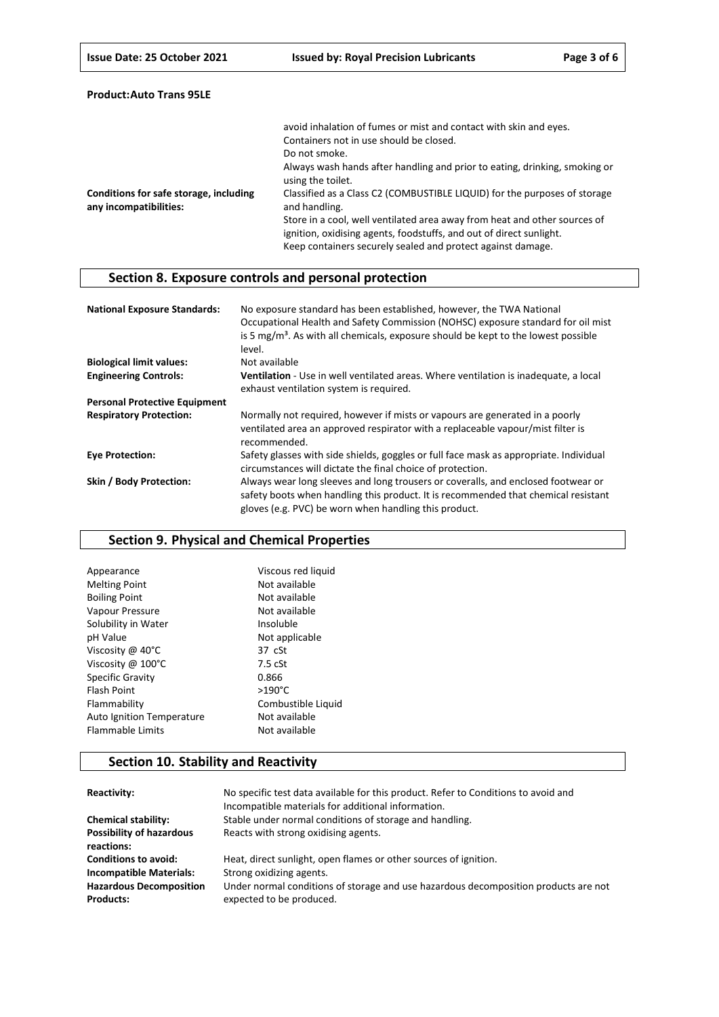|                                                                  | avoid inhalation of fumes or mist and contact with skin and eyes.                                                                                                                                               |
|------------------------------------------------------------------|-----------------------------------------------------------------------------------------------------------------------------------------------------------------------------------------------------------------|
|                                                                  | Containers not in use should be closed.                                                                                                                                                                         |
|                                                                  | Do not smoke.                                                                                                                                                                                                   |
|                                                                  | Always wash hands after handling and prior to eating, drinking, smoking or<br>using the toilet.                                                                                                                 |
| Conditions for safe storage, including<br>any incompatibilities: | Classified as a Class C2 (COMBUSTIBLE LIQUID) for the purposes of storage<br>and handling.                                                                                                                      |
|                                                                  | Store in a cool, well ventilated area away from heat and other sources of<br>ignition, oxidising agents, foodstuffs, and out of direct sunlight.<br>Keep containers securely sealed and protect against damage. |

# **Section 8. Exposure controls and personal protection**

| <b>National Exposure Standards:</b>  | No exposure standard has been established, however, the TWA National<br>Occupational Health and Safety Commission (NOHSC) exposure standard for oil mist<br>is 5 $mg/m3$ . As with all chemicals, exposure should be kept to the lowest possible<br>level. |
|--------------------------------------|------------------------------------------------------------------------------------------------------------------------------------------------------------------------------------------------------------------------------------------------------------|
| <b>Biological limit values:</b>      | Not available                                                                                                                                                                                                                                              |
| <b>Engineering Controls:</b>         | Ventilation - Use in well ventilated areas. Where ventilation is inadequate, a local<br>exhaust ventilation system is required.                                                                                                                            |
| <b>Personal Protective Equipment</b> |                                                                                                                                                                                                                                                            |
| <b>Respiratory Protection:</b>       | Normally not required, however if mists or vapours are generated in a poorly<br>ventilated area an approved respirator with a replaceable vapour/mist filter is<br>recommended.                                                                            |
| <b>Eve Protection:</b>               | Safety glasses with side shields, goggles or full face mask as appropriate. Individual<br>circumstances will dictate the final choice of protection.                                                                                                       |
| Skin / Body Protection:              | Always wear long sleeves and long trousers or coveralls, and enclosed footwear or<br>safety boots when handling this product. It is recommended that chemical resistant<br>gloves (e.g. PVC) be worn when handling this product.                           |

# **Section 9. Physical and Chemical Properties**

| Appearance                       | Viscous red liquid |
|----------------------------------|--------------------|
| <b>Melting Point</b>             | Not available      |
| <b>Boiling Point</b>             | Not available      |
| Vapour Pressure                  | Not available      |
| Solubility in Water              | Insoluble          |
| pH Value                         | Not applicable     |
| Viscosity @ 40°C                 | $37 \text{ cSt}$   |
| Viscosity @ 100°C                | $7.5$ $cSt$        |
| <b>Specific Gravity</b>          | 0.866              |
| <b>Flash Point</b>               | $>190^{\circ}$ C   |
| Flammability                     | Combustible Liquid |
| <b>Auto Ignition Temperature</b> | Not available      |
| <b>Flammable Limits</b>          | Not available      |
|                                  |                    |

# **Section 10. Stability and Reactivity**

| Reactivity:                                        | No specific test data available for this product. Refer to Conditions to avoid and<br>Incompatible materials for additional information. |
|----------------------------------------------------|------------------------------------------------------------------------------------------------------------------------------------------|
| <b>Chemical stability:</b>                         | Stable under normal conditions of storage and handling.                                                                                  |
| <b>Possibility of hazardous</b><br>reactions:      | Reacts with strong oxidising agents.                                                                                                     |
| <b>Conditions to avoid:</b>                        | Heat, direct sunlight, open flames or other sources of ignition.                                                                         |
| <b>Incompatible Materials:</b>                     | Strong oxidizing agents.                                                                                                                 |
| <b>Hazardous Decomposition</b><br><b>Products:</b> | Under normal conditions of storage and use hazardous decomposition products are not<br>expected to be produced.                          |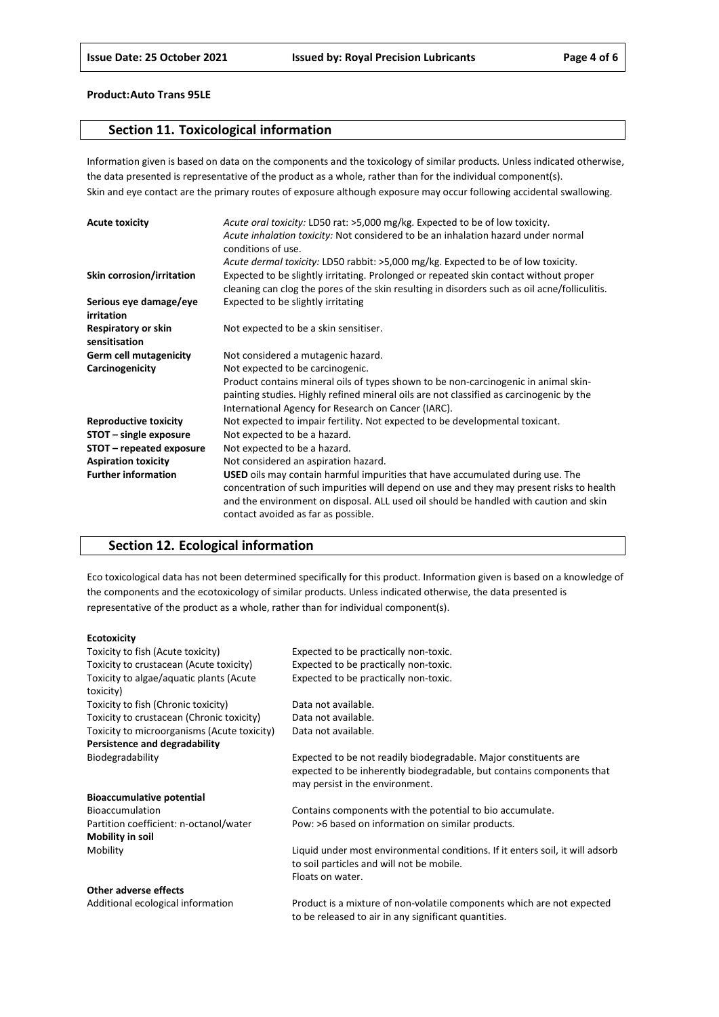### **Section 11. Toxicological information**

Information given is based on data on the components and the toxicology of similar products. Unless indicated otherwise, the data presented is representative of the product as a whole, rather than for the individual component(s). Skin and eye contact are the primary routes of exposure although exposure may occur following accidental swallowing.

| <b>Acute toxicity</b>                | Acute oral toxicity: LD50 rat: >5,000 mg/kg. Expected to be of low toxicity.<br>Acute inhalation toxicity: Not considered to be an inhalation hazard under normal<br>conditions of use.                                                                                                                    |
|--------------------------------------|------------------------------------------------------------------------------------------------------------------------------------------------------------------------------------------------------------------------------------------------------------------------------------------------------------|
|                                      | Acute dermal toxicity: LD50 rabbit: >5,000 mg/kg. Expected to be of low toxicity.                                                                                                                                                                                                                          |
| Skin corrosion/irritation            | Expected to be slightly irritating. Prolonged or repeated skin contact without proper<br>cleaning can clog the pores of the skin resulting in disorders such as oil acne/folliculitis.                                                                                                                     |
| Serious eye damage/eye<br>irritation | Expected to be slightly irritating                                                                                                                                                                                                                                                                         |
| Respiratory or skin<br>sensitisation | Not expected to be a skin sensitiser.                                                                                                                                                                                                                                                                      |
| <b>Germ cell mutagenicity</b>        | Not considered a mutagenic hazard.                                                                                                                                                                                                                                                                         |
| Carcinogenicity                      | Not expected to be carcinogenic.                                                                                                                                                                                                                                                                           |
|                                      | Product contains mineral oils of types shown to be non-carcinogenic in animal skin-                                                                                                                                                                                                                        |
|                                      | painting studies. Highly refined mineral oils are not classified as carcinogenic by the                                                                                                                                                                                                                    |
|                                      | International Agency for Research on Cancer (IARC).                                                                                                                                                                                                                                                        |
| <b>Reproductive toxicity</b>         | Not expected to impair fertility. Not expected to be developmental toxicant.                                                                                                                                                                                                                               |
| STOT - single exposure               | Not expected to be a hazard.                                                                                                                                                                                                                                                                               |
| STOT – repeated exposure             | Not expected to be a hazard.                                                                                                                                                                                                                                                                               |
| <b>Aspiration toxicity</b>           | Not considered an aspiration hazard.                                                                                                                                                                                                                                                                       |
| <b>Further information</b>           | USED oils may contain harmful impurities that have accumulated during use. The<br>concentration of such impurities will depend on use and they may present risks to health<br>and the environment on disposal. ALL used oil should be handled with caution and skin<br>contact avoided as far as possible. |

## **Section 12. Ecological information**

Eco toxicological data has not been determined specifically for this product. Information given is based on a knowledge of the components and the ecotoxicology of similar products. Unless indicated otherwise, the data presented is representative of the product as a whole, rather than for individual component(s).

#### **Ecotoxicity**

| Toxicity to fish (Acute toxicity)           | Expected to be practically non-toxic.                                         |
|---------------------------------------------|-------------------------------------------------------------------------------|
| Toxicity to crustacean (Acute toxicity)     | Expected to be practically non-toxic.                                         |
| Toxicity to algae/aquatic plants (Acute     | Expected to be practically non-toxic.                                         |
| toxicity)                                   |                                                                               |
| Toxicity to fish (Chronic toxicity)         | Data not available.                                                           |
| Toxicity to crustacean (Chronic toxicity)   | Data not available.                                                           |
| Toxicity to microorganisms (Acute toxicity) | Data not available.                                                           |
| Persistence and degradability               |                                                                               |
| Biodegradability                            | Expected to be not readily biodegradable. Major constituents are              |
|                                             | expected to be inherently biodegradable, but contains components that         |
|                                             | may persist in the environment.                                               |
| <b>Bioaccumulative potential</b>            |                                                                               |
| Bioaccumulation                             | Contains components with the potential to bio accumulate.                     |
| Partition coefficient: n-octanol/water      | Pow: >6 based on information on similar products.                             |
| <b>Mobility in soil</b>                     |                                                                               |
| Mobility                                    | Liquid under most environmental conditions. If it enters soil, it will adsorb |
|                                             | to soil particles and will not be mobile.                                     |
|                                             | Floats on water.                                                              |
| Other adverse effects                       |                                                                               |
| Additional ecological information           | Product is a mixture of non-volatile components which are not expected        |

to be released to air in any significant quantities.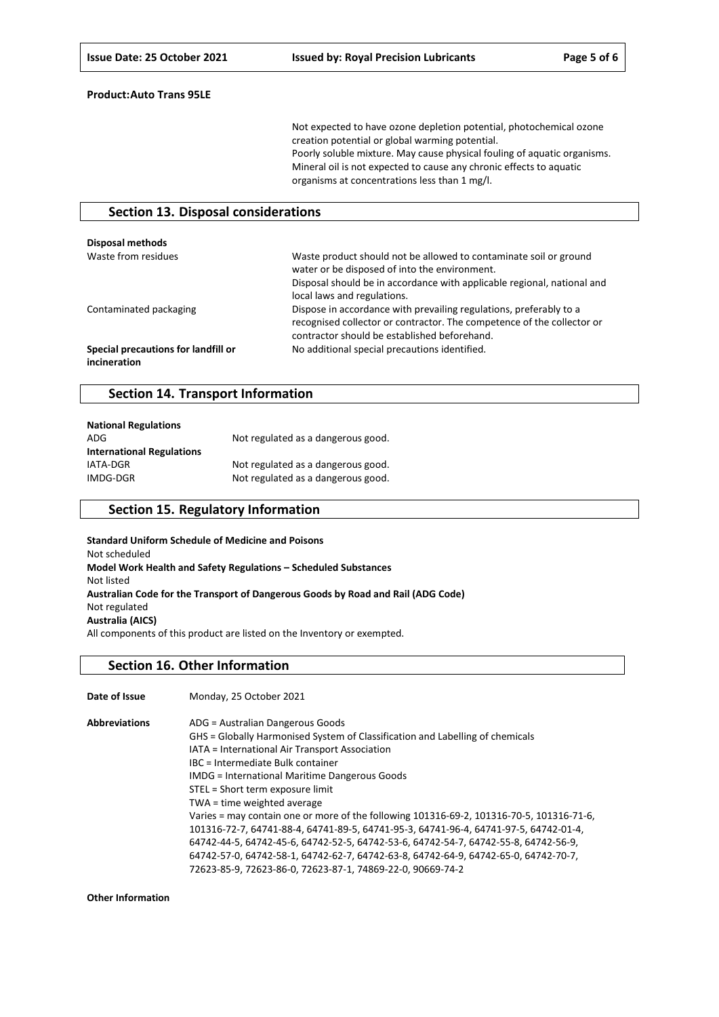Not expected to have ozone depletion potential, photochemical ozone creation potential or global warming potential. Poorly soluble mixture. May cause physical fouling of aquatic organisms. Mineral oil is not expected to cause any chronic effects to aquatic organisms at concentrations less than 1 mg/l.

### **Section 13. Disposal considerations**

| <b>Disposal methods</b>                             |                                                                                                                                                                                                                              |
|-----------------------------------------------------|------------------------------------------------------------------------------------------------------------------------------------------------------------------------------------------------------------------------------|
| Waste from residues                                 | Waste product should not be allowed to contaminate soil or ground<br>water or be disposed of into the environment.<br>Disposal should be in accordance with applicable regional, national and<br>local laws and regulations. |
| Contaminated packaging                              | Dispose in accordance with prevailing regulations, preferably to a<br>recognised collector or contractor. The competence of the collector or<br>contractor should be established beforehand.                                 |
| Special precautions for landfill or<br>incineration | No additional special precautions identified.                                                                                                                                                                                |

### **Section 14. Transport Information**

| <b>National Regulations</b>      |                                    |
|----------------------------------|------------------------------------|
| ADG                              | Not regulated as a dangerous good. |
| <b>International Regulations</b> |                                    |
| IATA-DGR                         | Not regulated as a dangerous good. |
| IMDG-DGR                         | Not regulated as a dangerous good. |

### **Section 15. Regulatory Information**

**Standard Uniform Schedule of Medicine and Poisons** Not scheduled **Model Work Health and Safety Regulations – Scheduled Substances** Not listed **Australian Code for the Transport of Dangerous Goods by Road and Rail (ADG Code)** Not regulated **Australia (AICS)** All components of this product are listed on the Inventory or exempted.

#### **Section 16. Other Information**

| Date of Issue        | Monday, 25 October 2021                                                                  |
|----------------------|------------------------------------------------------------------------------------------|
| <b>Abbreviations</b> | ADG = Australian Dangerous Goods                                                         |
|                      | GHS = Globally Harmonised System of Classification and Labelling of chemicals            |
|                      | IATA = International Air Transport Association                                           |
|                      | IBC = Intermediate Bulk container                                                        |
|                      | <b>IMDG</b> = International Maritime Dangerous Goods                                     |
|                      | STEL = Short term exposure limit                                                         |
|                      | TWA = time weighted average                                                              |
|                      | Varies = may contain one or more of the following 101316-69-2, 101316-70-5, 101316-71-6, |
|                      | 101316-72-7, 64741-88-4, 64741-89-5, 64741-95-3, 64741-96-4, 64741-97-5, 64742-01-4,     |
|                      | 64742-44-5, 64742-45-6, 64742-52-5, 64742-53-6, 64742-54-7, 64742-55-8, 64742-56-9,      |
|                      | 64742-57-0, 64742-58-1, 64742-62-7, 64742-63-8, 64742-64-9, 64742-65-0, 64742-70-7,      |
|                      | 72623-85-9, 72623-86-0, 72623-87-1, 74869-22-0, 90669-74-2                               |

**Other Information**